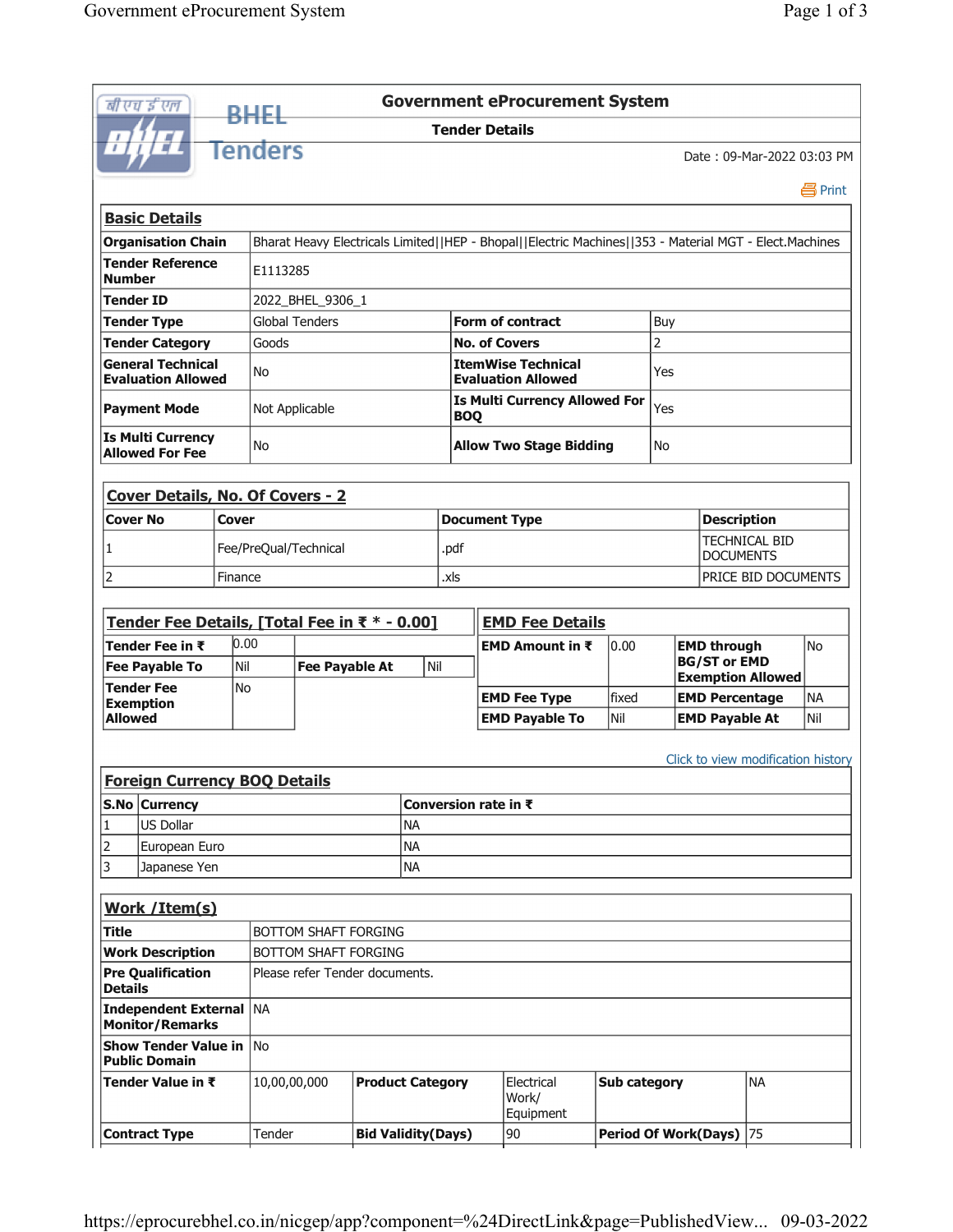|                               | बी एच ई एल                                            |              | <b>RHEL</b>                                  |                                              |                           |                      |                                                        | <b>Government eProcurement System</b>                                                                  |  |                             |                                          |                       |                                    |           |  |
|-------------------------------|-------------------------------------------------------|--------------|----------------------------------------------|----------------------------------------------|---------------------------|----------------------|--------------------------------------------------------|--------------------------------------------------------------------------------------------------------|--|-----------------------------|------------------------------------------|-----------------------|------------------------------------|-----------|--|
|                               |                                                       |              |                                              |                                              |                           |                      |                                                        | <b>Tender Details</b>                                                                                  |  |                             |                                          |                       |                                    |           |  |
|                               |                                                       |              | <b>Tenders</b><br>Date: 09-Mar-2022 03:03 PM |                                              |                           |                      |                                                        |                                                                                                        |  |                             |                                          |                       |                                    |           |  |
|                               |                                                       |              |                                              |                                              |                           |                      |                                                        |                                                                                                        |  |                             |                                          |                       |                                    | 昌 Print   |  |
|                               | <b>Basic Details</b>                                  |              |                                              |                                              |                           |                      |                                                        |                                                                                                        |  |                             |                                          |                       |                                    |           |  |
|                               | <b>Organisation Chain</b>                             |              |                                              |                                              |                           |                      |                                                        | Bharat Heavy Electricals Limited  HEP - Bhopal  Electric Machines  353 - Material MGT - Elect.Machines |  |                             |                                          |                       |                                    |           |  |
| Number                        | <b>Tender Reference</b>                               |              |                                              | E1113285                                     |                           |                      |                                                        |                                                                                                        |  |                             |                                          |                       |                                    |           |  |
| Tender ID<br>2022_BHEL_9306_1 |                                                       |              |                                              |                                              |                           |                      |                                                        |                                                                                                        |  |                             |                                          |                       |                                    |           |  |
|                               | <b>Tender Type</b>                                    |              |                                              | <b>Global Tenders</b>                        |                           |                      |                                                        | Form of contract                                                                                       |  |                             | Buy                                      |                       |                                    |           |  |
|                               | <b>Tender Category</b>                                |              | Goods                                        |                                              |                           |                      |                                                        | <b>No. of Covers</b>                                                                                   |  |                             | 2                                        |                       |                                    |           |  |
|                               | <b>General Technical</b><br><b>Evaluation Allowed</b> |              | No                                           |                                              |                           |                      | <b>ItemWise Technical</b><br><b>Evaluation Allowed</b> |                                                                                                        |  |                             | Yes                                      |                       |                                    |           |  |
|                               | <b>Payment Mode</b>                                   |              | Not Applicable                               |                                              |                           |                      | <b>Is Multi Currency Allowed For</b><br><b>BOQ</b>     |                                                                                                        |  |                             | Yes                                      |                       |                                    |           |  |
|                               | <b>Is Multi Currency</b><br><b>Allowed For Fee</b>    |              | <b>No</b>                                    |                                              |                           |                      |                                                        | <b>Allow Two Stage Bidding</b>                                                                         |  |                             |                                          |                       |                                    |           |  |
|                               |                                                       |              |                                              |                                              |                           |                      |                                                        |                                                                                                        |  |                             |                                          |                       |                                    |           |  |
|                               | <b>Cover Details, No. Of Covers - 2</b>               |              |                                              |                                              |                           |                      |                                                        |                                                                                                        |  |                             |                                          |                       |                                    |           |  |
| <b>Cover No</b>               |                                                       | <b>Cover</b> |                                              |                                              |                           |                      |                                                        | <b>Document Type</b>                                                                                   |  |                             |                                          | <b>Description</b>    |                                    |           |  |
| 1                             |                                                       |              |                                              | Fee/PreQual/Technical                        |                           |                      | .pdf                                                   |                                                                                                        |  |                             | <b>TECHNICAL BID</b><br><b>DOCUMENTS</b> |                       |                                    |           |  |
| $\overline{2}$                |                                                       | Finance      |                                              |                                              |                           |                      | .xls                                                   |                                                                                                        |  |                             |                                          |                       | PRICE BID DOCUMENTS                |           |  |
|                               |                                                       |              |                                              |                                              |                           |                      |                                                        |                                                                                                        |  |                             |                                          |                       |                                    |           |  |
|                               | Tender Fee Details, [Total Fee in ₹ * - 0.00]         |              |                                              |                                              |                           |                      |                                                        | <b>EMD Fee Details</b>                                                                                 |  |                             |                                          |                       |                                    |           |  |
|                               | Tender Fee in ₹                                       | 0.00         |                                              | <b>EMD Amount in <math>\bar{\tau}</math></b> |                           |                      |                                                        |                                                                                                        |  | 0.00                        | <b>EMD through</b>                       |                       |                                    | <b>No</b> |  |
|                               | <b>Fee Payable To</b>                                 | Nil          | Nil<br><b>Fee Payable At</b>                 |                                              |                           |                      |                                                        |                                                                                                        |  |                             |                                          | <b>BG/ST or EMD</b>   | <b>Exemption Allowed</b>           |           |  |
|                               | <b>Tender Fee</b>                                     | <b>No</b>    |                                              |                                              |                           |                      |                                                        | fixed<br><b>EMD Fee Type</b>                                                                           |  |                             | <b>EMD Percentage</b>                    |                       |                                    | <b>NA</b> |  |
| <b>Allowed</b>                | <b>Exemption</b>                                      |              |                                              |                                              |                           |                      | <b>EMD Payable To</b>                                  |                                                                                                        |  | Nil                         |                                          | <b>EMD Payable At</b> |                                    | Nil       |  |
|                               |                                                       |              |                                              |                                              |                           |                      |                                                        |                                                                                                        |  |                             |                                          |                       |                                    |           |  |
|                               |                                                       |              |                                              |                                              |                           |                      |                                                        |                                                                                                        |  |                             |                                          |                       | Click to view modification history |           |  |
|                               | <b>Foreign Currency BOO Details</b>                   |              |                                              |                                              |                           |                      |                                                        |                                                                                                        |  |                             |                                          |                       |                                    |           |  |
| S.No Currency                 |                                                       |              |                                              |                                              |                           | Conversion rate in ₹ |                                                        |                                                                                                        |  |                             |                                          |                       |                                    |           |  |
| 1                             | <b>US Dollar</b>                                      |              | <b>NA</b>                                    |                                              |                           |                      |                                                        |                                                                                                        |  |                             |                                          |                       |                                    |           |  |
| 2                             | European Euro                                         |              |                                              |                                              |                           | <b>NA</b>            |                                                        |                                                                                                        |  |                             |                                          |                       |                                    |           |  |
| 3<br>Japanese Yen             |                                                       |              |                                              |                                              |                           | <b>NA</b>            |                                                        |                                                                                                        |  |                             |                                          |                       |                                    |           |  |
|                               | Work / Item(s)                                        |              |                                              |                                              |                           |                      |                                                        |                                                                                                        |  |                             |                                          |                       |                                    |           |  |
| <b>Title</b>                  |                                                       |              | BOTTOM SHAFT FORGING                         |                                              |                           |                      |                                                        |                                                                                                        |  |                             |                                          |                       |                                    |           |  |
|                               | <b>Work Description</b>                               |              | BOTTOM SHAFT FORGING                         |                                              |                           |                      |                                                        |                                                                                                        |  |                             |                                          |                       |                                    |           |  |
| <b>Details</b>                | <b>Pre Qualification</b>                              |              | Please refer Tender documents.               |                                              |                           |                      |                                                        |                                                                                                        |  |                             |                                          |                       |                                    |           |  |
|                               | <b>Independent External</b><br><b>Monitor/Remarks</b> |              | NA                                           |                                              |                           |                      |                                                        |                                                                                                        |  |                             |                                          |                       |                                    |           |  |
|                               | <b>Show Tender Value in</b><br><b>Public Domain</b>   |              | <b>No</b>                                    |                                              |                           |                      |                                                        |                                                                                                        |  |                             |                                          |                       |                                    |           |  |
|                               | Tender Value in ₹                                     |              | 10,00,00,000                                 |                                              | <b>Product Category</b>   |                      |                                                        | Electrical                                                                                             |  | Sub category                |                                          |                       | <b>NA</b>                          |           |  |
|                               |                                                       |              |                                              |                                              |                           |                      |                                                        | Work/<br>Equipment                                                                                     |  |                             |                                          |                       |                                    |           |  |
|                               | <b>Contract Type</b>                                  |              | Tender                                       |                                              | <b>Bid Validity(Days)</b> |                      |                                                        | 90                                                                                                     |  | <b>Period Of Work(Days)</b> |                                          |                       | 175                                |           |  |

 $\overline{\phantom{a}}$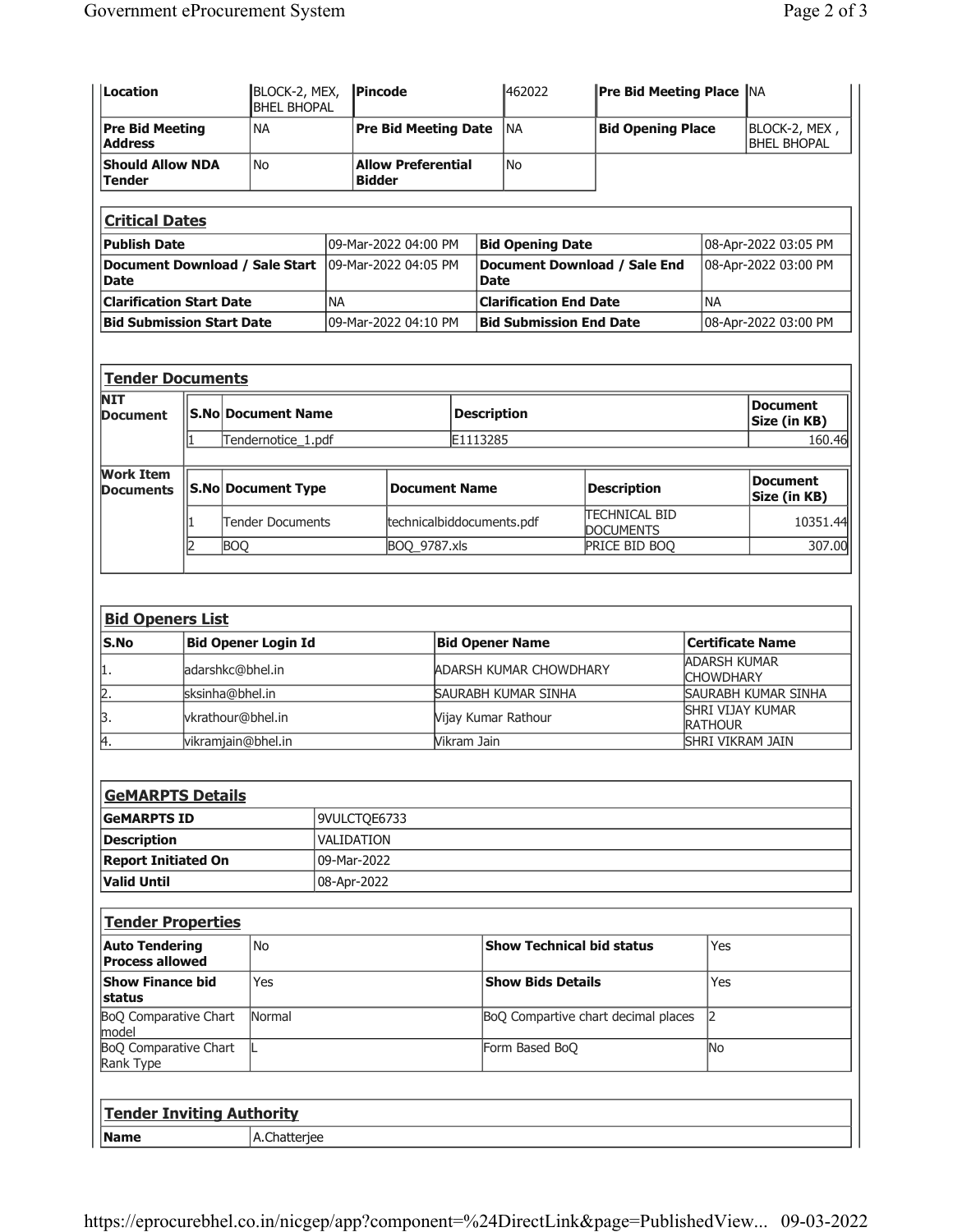| Location                                        |                 | BLOCK-2, MEX,<br><b>BHEL BHOPAL</b> |                            | Pincode                     |                                            | 462022               | <b>Pre Bid Meeting Place NA</b>             |                                          |                                    |                                     |                                 |  |  |  |
|-------------------------------------------------|-----------------|-------------------------------------|----------------------------|-----------------------------|--------------------------------------------|----------------------|---------------------------------------------|------------------------------------------|------------------------------------|-------------------------------------|---------------------------------|--|--|--|
| <b>Pre Bid Meeting</b><br><b>Address</b>        |                 | <b>NA</b>                           |                            | <b>Pre Bid Meeting Date</b> |                                            |                      | <b>NA</b>                                   | <b>Bid Opening Place</b>                 |                                    | BLOCK-2, MEX,<br><b>BHEL BHOPAL</b> |                                 |  |  |  |
| <b>Should Allow NDA</b><br><b>Tender</b>        |                 |                                     | <b>No</b>                  |                             | <b>Allow Preferential</b><br><b>Bidder</b> |                      |                                             | <b>No</b>                                |                                    |                                     |                                 |  |  |  |
| <b>Critical Dates</b>                           |                 |                                     |                            |                             |                                            |                      |                                             |                                          |                                    |                                     |                                 |  |  |  |
| Publish Date                                    |                 |                                     |                            |                             |                                            | 09-Mar-2022 04:00 PM |                                             | <b>Bid Opening Date</b>                  |                                    |                                     | 08-Apr-2022 03:05 PM            |  |  |  |
| Document Download / Sale Start<br>Date          |                 |                                     |                            | 09-Mar-2022 04:05 PM        |                                            |                      | <b>Document Download / Sale End</b><br>Date |                                          |                                    |                                     | 08-Apr-2022 03:00 PM            |  |  |  |
| <b>Clarification Start Date</b>                 |                 |                                     |                            | <b>NA</b>                   |                                            |                      |                                             | <b>Clarification End Date</b>            |                                    | <b>NA</b>                           |                                 |  |  |  |
| <b>Bid Submission Start Date</b>                |                 |                                     |                            | 09-Mar-2022 04:10 PM        |                                            |                      |                                             | <b>Bid Submission End Date</b>           |                                    |                                     | 08-Apr-2022 03:00 PM            |  |  |  |
|                                                 |                 |                                     |                            |                             |                                            |                      |                                             |                                          |                                    |                                     |                                 |  |  |  |
| <b>Tender Documents</b><br>NIT                  |                 |                                     |                            |                             |                                            |                      |                                             |                                          |                                    |                                     |                                 |  |  |  |
| <b>Document</b>                                 |                 |                                     | <b>S.No Document Name</b>  |                             |                                            |                      |                                             | <b>Description</b>                       |                                    |                                     | <b>Document</b><br>Size (in KB) |  |  |  |
|                                                 | l1.             |                                     | Tendernotice_1.pdf         |                             |                                            |                      | E1113285                                    |                                          |                                    |                                     | 160.46                          |  |  |  |
| <b>Work Item</b><br><b>Documents</b>            |                 |                                     | <b>S.No Document Type</b>  |                             |                                            | <b>Document Name</b> |                                             |                                          | <b>Description</b>                 |                                     | <b>Document</b><br>Size (in KB) |  |  |  |
|                                                 | 1               |                                     | Tender Documents           |                             | technicalbiddocuments.pdf                  |                      |                                             | <b>TECHNICAL BID</b><br><b>DOCUMENTS</b> |                                    |                                     | 10351.44                        |  |  |  |
|                                                 | 2               | <b>BOQ</b>                          |                            |                             |                                            | BOQ_9787.xls         |                                             |                                          | PRICE BID BOQ                      |                                     | 307.00                          |  |  |  |
| <b>Bid Openers List</b><br>S.No                 |                 |                                     | <b>Bid Opener Login Id</b> |                             |                                            |                      |                                             | <b>Bid Opener Name</b>                   |                                    | <b>Certificate Name</b>             |                                 |  |  |  |
| 1.                                              |                 |                                     | adarshkc@bhel.in           |                             |                                            |                      |                                             | ADARSH KUMAR CHOWDHARY                   |                                    | ADARSH KUMAR<br><b>CHOWDHARY</b>    |                                 |  |  |  |
| 2.                                              | sksinha@bhel.in |                                     |                            |                             |                                            |                      |                                             | SAURABH KUMAR SINHA                      |                                    | SAURABH KUMAR SINHA                 |                                 |  |  |  |
| ß.                                              |                 |                                     | vkrathour@bhel.in          |                             |                                            |                      |                                             | Vijay Kumar Rathour                      | SHRI VIJAY KUMAR<br><b>RATHOUR</b> |                                     |                                 |  |  |  |
| 4.                                              |                 |                                     | vikramjain@bhel.in         |                             | Vikram Jain                                |                      |                                             |                                          |                                    |                                     | <b>SHRI VIKRAM JAIN</b>         |  |  |  |
|                                                 |                 |                                     |                            |                             |                                            |                      |                                             |                                          |                                    |                                     |                                 |  |  |  |
| <b>GeMARPTS Details</b><br><b>GeMARPTS ID</b>   |                 |                                     |                            | 9VULCTQE6733                |                                            |                      |                                             |                                          |                                    |                                     |                                 |  |  |  |
| <b>Description</b>                              |                 |                                     |                            | VALIDATION                  |                                            |                      |                                             |                                          |                                    |                                     |                                 |  |  |  |
| <b>Report Initiated On</b>                      |                 | 09-Mar-2022                         |                            |                             |                                            |                      |                                             |                                          |                                    |                                     |                                 |  |  |  |
| <b>Valid Until</b>                              |                 |                                     |                            |                             | 08-Apr-2022                                |                      |                                             |                                          |                                    |                                     |                                 |  |  |  |
| <b>Tender Properties</b>                        |                 |                                     |                            |                             |                                            |                      |                                             |                                          |                                    |                                     |                                 |  |  |  |
| <b>Auto Tendering</b><br><b>Process allowed</b> |                 |                                     | <b>No</b>                  |                             |                                            |                      | <b>Show Technical bid status</b>            |                                          |                                    |                                     | Yes                             |  |  |  |
| <b>Show Finance bid</b><br>status               |                 |                                     | Yes                        |                             |                                            |                      |                                             | <b>Show Bids Details</b>                 | Yes                                |                                     |                                 |  |  |  |
| BoQ Comparative Chart<br>lmodel                 |                 |                                     | Normal                     |                             |                                            |                      |                                             | BoQ Compartive chart decimal places      | 2                                  |                                     |                                 |  |  |  |
| BoQ Comparative Chart<br>Rank Type              |                 |                                     |                            |                             |                                            |                      |                                             | Form Based BoQ                           | N <sub>o</sub>                     |                                     |                                 |  |  |  |
|                                                 |                 |                                     |                            |                             |                                            |                      |                                             |                                          |                                    |                                     |                                 |  |  |  |
| <b>Tender Inviting Authority</b><br><b>Name</b> |                 |                                     |                            |                             |                                            |                      |                                             |                                          |                                    |                                     |                                 |  |  |  |
|                                                 |                 |                                     | A.Chatterjee               |                             |                                            |                      |                                             |                                          |                                    |                                     |                                 |  |  |  |